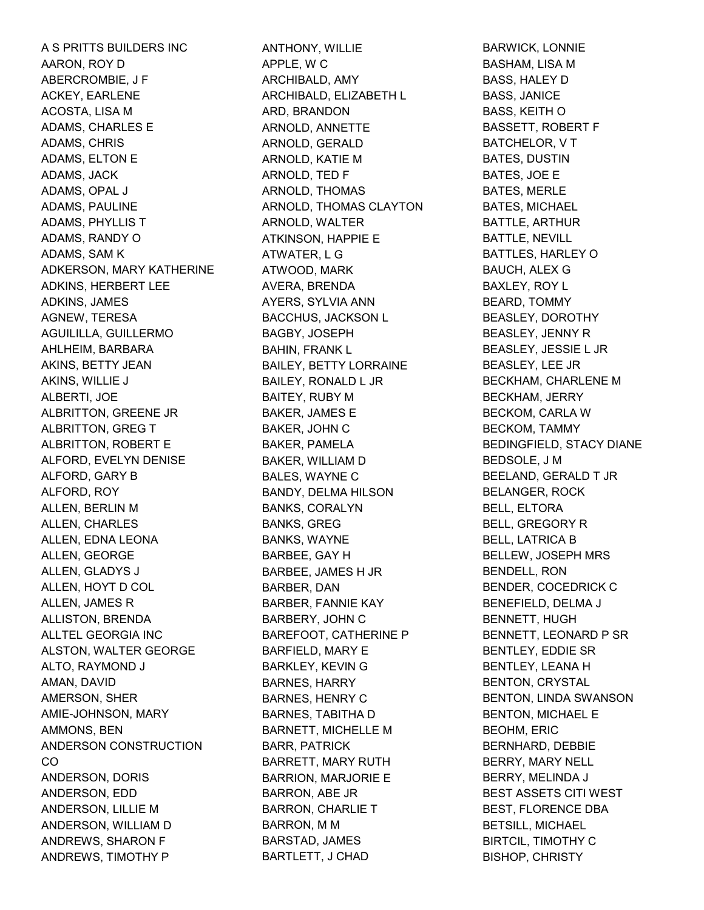A S PRITTS BUILDERS INC AARON, ROY D ABERCROMBIE, J F ACKEY, EARLENE ACOSTA, LISA M ADAMS, CHARLES E ADAMS, CHRIS ADAMS, ELTON E ADAMS, JACK ADAMS, OPAL J ADAMS, PAULINE ADAMS, PHYLLIS T ADAMS, RANDY O ADAMS, SAM K ADKERSON, MARY KATHERINE ADKINS, HERBERT LEE ADKINS, JAMES AGNEW, TERESA AGUILILLA, GUILLERMO AHLHEIM, BARBARA AKINS, BETTY JEAN AKINS, WILLIE J ALBERTI, JOE ALBRITTON, GREENE JR ALBRITTON, GREG T ALBRITTON, ROBERT E ALFORD, EVELYN DENISE ALFORD, GARY B ALFORD, ROY ALLEN, BERLIN M ALLEN, CHARLES ALLEN, EDNA LEONA ALLEN, GEORGE ALLEN, GLADYS J ALLEN, HOYT D COL ALLEN, JAMES R ALLISTON, BRENDA ALLTEL GEORGIA INC ALSTON, WALTER GEORGE ALTO, RAYMOND J AMAN, DAVID AMERSON, SHER AMIE-JOHNSON, MARY AMMONS, BEN ANDERSON CONSTRUCTION CO ANDERSON, DORIS ANDERSON, EDD ANDERSON, LILLIE M ANDERSON, WILLIAM D ANDREWS, SHARON F ANDREWS, TIMOTHY P

ANTHONY, WILLIE APPLE, W C ARCHIBALD, AMY ARCHIBALD, ELIZABETH L ARD, BRANDON ARNOLD, ANNETTE ARNOLD, GERALD ARNOLD, KATIE M ARNOLD, TED F ARNOLD, THOMAS ARNOLD, THOMAS CLAYTON ARNOLD, WALTER ATKINSON, HAPPIE E ATWATER, L G ATWOOD, MARK AVERA, BRENDA AYERS, SYLVIA ANN BACCHUS, JACKSON L BAGBY, JOSEPH BAHIN, FRANK L BAILEY, BETTY LORRAINE BAILEY, RONALD L JR BAITEY, RUBY M BAKER, JAMES E BAKER, JOHN C BAKER, PAMELA BAKER, WILLIAM D BALES, WAYNE C BANDY, DELMA HILSON BANKS, CORALYN BANKS, GREG BANKS, WAYNE BARBEE, GAY H BARBEE, JAMES H JR BARBER, DAN BARBER, FANNIE KAY BARBERY, JOHN C BAREFOOT, CATHERINE P BARFIELD, MARY E BARKLEY, KEVIN G BARNES, HARRY BARNES, HENRY C BARNES, TABITHA D BARNETT, MICHELLE M BARR, PATRICK BARRETT, MARY RUTH BARRION, MARJORIE E BARRON, ABE JR BARRON, CHARLIE T BARRON, M M BARSTAD, JAMES BARTLETT, J CHAD

BARWICK, LONNIE BASHAM, LISA M BASS, HALEY D BASS, JANICE BASS, KEITH O BASSETT, ROBERT F BATCHELOR, V T BATES, DUSTIN BATES, JOE E BATES, MERLE BATES, MICHAEL BATTLE, ARTHUR BATTLE, NEVILL BATTLES, HARLEY O BAUCH, ALEX G BAXLEY, ROY L BEARD, TOMMY BEASLEY, DOROTHY BEASLEY, JENNY R BEASLEY, JESSIE L JR BEASLEY, LEE JR BECKHAM, CHARLENE M BECKHAM, JERRY BECKOM, CARLA W BECKOM, TAMMY BEDINGFIELD, STACY DIANE BEDSOLE, J M BEELAND, GERALD T JR BELANGER, ROCK BELL, ELTORA BELL, GREGORY R BELL, LATRICA B BELLEW, JOSEPH MRS BENDELL, RON BENDER, COCEDRICK C BENEFIELD, DELMA J BENNETT, HUGH BENNETT, LEONARD P SR BENTLEY, EDDIE SR BENTLEY, LEANA H BENTON, CRYSTAL BENTON, LINDA SWANSON BENTON, MICHAEL E BEOHM, ERIC BERNHARD, DEBBIE BERRY, MARY NELL BERRY, MELINDA J BEST ASSETS CITI WEST BEST, FLORENCE DBA BETSILL, MICHAEL BIRTCIL, TIMOTHY C BISHOP, CHRISTY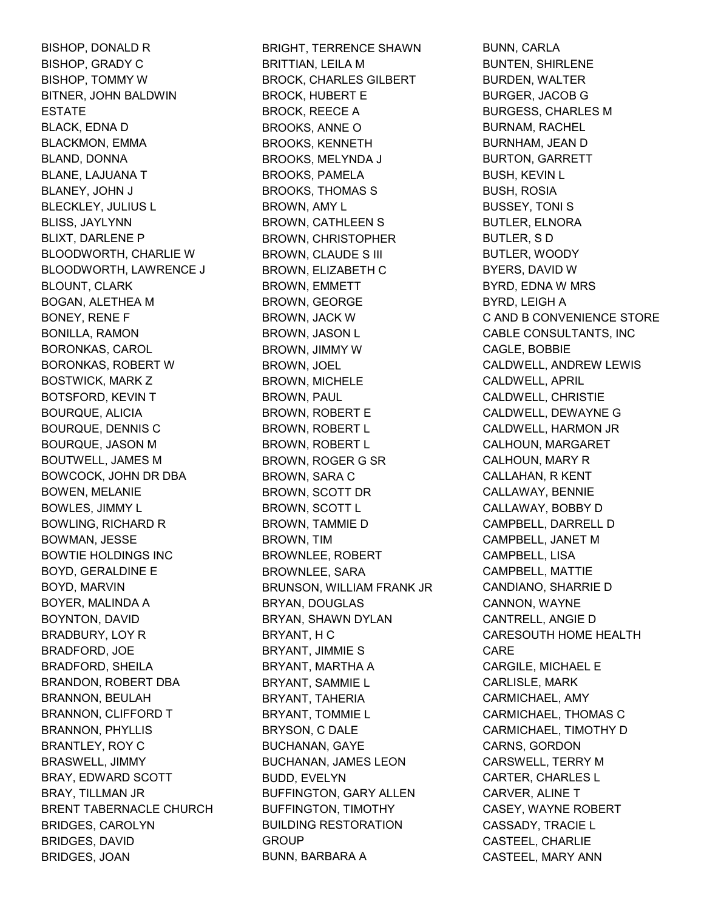BISHOP, DONALD R BISHOP, GRADY C BISHOP, TOMMY W BITNER, JOHN BALDWIN ESTATE BLACK, EDNA D BLACKMON, EMMA BLAND, DONNA BLANE, LAJUANA T BLANEY, JOHN J BLECKLEY, JULIUS L BLISS, JAYLYNN BLIXT, DARLENE P BLOODWORTH, CHARLIE W BLOODWORTH, LAWRENCE J BLOUNT, CLARK BOGAN, ALETHEA M BONEY, RENE F BONILLA, RAMON BORONKAS, CAROL BORONKAS, ROBERT W BOSTWICK, MARK Z BOTSFORD, KEVIN T BOURQUE, ALICIA BOURQUE, DENNIS C BOURQUE, JASON M BOUTWELL, JAMES M BOWCOCK, JOHN DR DBA BOWEN, MELANIE BOWLES, JIMMY L BOWLING, RICHARD R BOWMAN, JESSE BOWTIE HOLDINGS INC BOYD, GERALDINE E BOYD, MARVIN BOYER, MALINDA A BOYNTON, DAVID BRADBURY, LOY R BRADFORD, JOE BRADFORD, SHEILA BRANDON, ROBERT DBA BRANNON, BEULAH BRANNON, CLIFFORD T BRANNON, PHYLLIS BRANTLEY, ROY C BRASWELL, JIMMY BRAY, EDWARD SCOTT BRAY, TILLMAN JR BRENT TABERNACLE CHURCH BRIDGES, CAROLYN BRIDGES, DAVID BRIDGES, JOAN

BRIGHT, TERRENCE SHAWN BRITTIAN, LEILA M BROCK, CHARLES GILBERT BROCK, HUBERT E BROCK, REECE A BROOKS, ANNE O BROOKS, KENNETH BROOKS, MELYNDA J BROOKS, PAMELA BROOKS, THOMAS S BROWN, AMY L BROWN, CATHLEEN S BROWN, CHRISTOPHER BROWN, CLAUDE S III BROWN, ELIZABETH C BROWN, EMMETT BROWN, GEORGE BROWN, JACK W BROWN, JASON L BROWN, JIMMY W BROWN, JOEL BROWN, MICHELE BROWN, PAUL BROWN, ROBERT E BROWN, ROBERT L BROWN, ROBERT L BROWN, ROGER G SR BROWN, SARA C BROWN, SCOTT DR BROWN, SCOTT L BROWN, TAMMIE D BROWN, TIM BROWNLEE, ROBERT BROWNLEE, SARA BRUNSON, WILLIAM FRANK JR BRYAN, DOUGLAS BRYAN, SHAWN DYLAN BRYANT, H C BRYANT, JIMMIE S BRYANT, MARTHA A BRYANT, SAMMIE L BRYANT, TAHERIA BRYANT, TOMMIE L BRYSON, C DALE BUCHANAN, GAYE BUCHANAN, JAMES LEON BUDD, EVELYN BUFFINGTON, GARY ALLEN BUFFINGTON, TIMOTHY BUILDING RESTORATION **GROUP** BUNN, BARBARA A

BUNN, CARLA BUNTEN, SHIRLENE BURDEN, WALTER BURGER, JACOB G BURGESS, CHARLES M BURNAM, RACHEL BURNHAM, JEAN D BURTON, GARRETT BUSH, KEVIN L BUSH, ROSIA BUSSEY, TONI S BUTLER, ELNORA BUTLER, S D BUTLER, WOODY BYERS, DAVID W BYRD, EDNA W MRS BYRD, LEIGH A C AND B CONVENIENCE STORE CABLE CONSULTANTS, INC CAGLE, BOBBIE CALDWELL, ANDREW LEWIS CALDWELL, APRIL CALDWELL, CHRISTIE CALDWELL, DEWAYNE G CALDWELL, HARMON JR CALHOUN, MARGARET CALHOUN, MARY R CALLAHAN, R KENT CALLAWAY, BENNIE CALLAWAY, BOBBY D CAMPBELL, DARRELL D CAMPBELL, JANET M CAMPBELL, LISA CAMPBELL, MATTIE CANDIANO, SHARRIE D CANNON, WAYNE CANTRELL, ANGIE D CARESOUTH HOME HEALTH CARE CARGILE, MICHAEL E CARLISLE, MARK CARMICHAEL, AMY CARMICHAEL, THOMAS C CARMICHAEL, TIMOTHY D CARNS, GORDON CARSWELL, TERRY M CARTER, CHARLES L CARVER, ALINE T CASEY, WAYNE ROBERT CASSADY, TRACIE L CASTEEL, CHARLIE CASTEEL, MARY ANN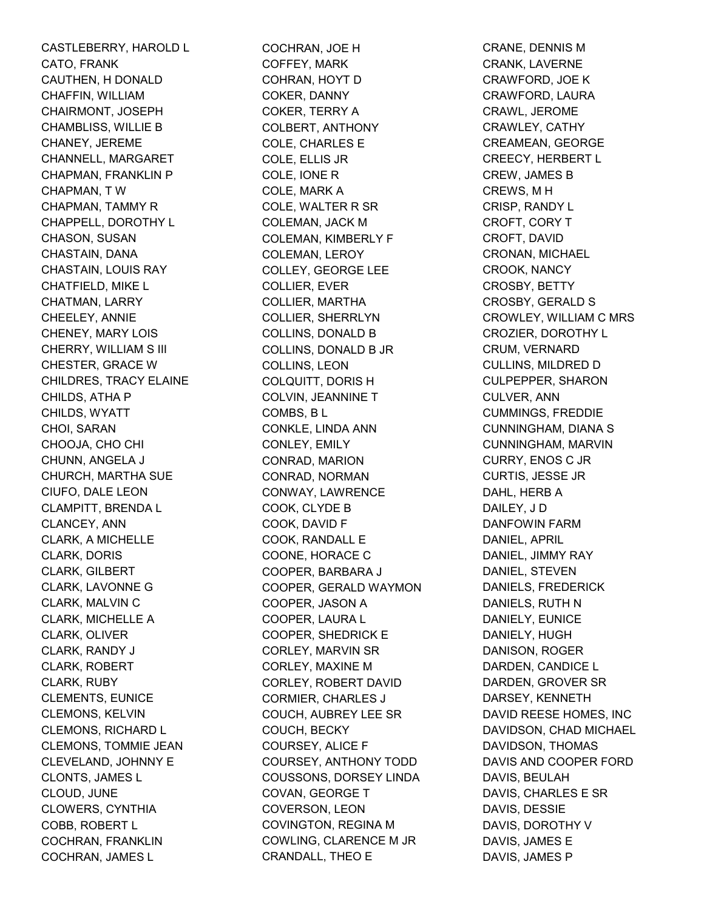CASTLEBERRY, HAROLD L CATO, FRANK CAUTHEN, H DONALD CHAFFIN, WILLIAM CHAIRMONT, JOSEPH CHAMBLISS, WILLIE B CHANEY, JEREME CHANNELL, MARGARET CHAPMAN, FRANKLIN P CHAPMAN, T W CHAPMAN, TAMMY R CHAPPELL, DOROTHY L CHASON, SUSAN CHASTAIN, DANA CHASTAIN, LOUIS RAY CHATFIELD, MIKE L CHATMAN, LARRY CHEELEY, ANNIE CHENEY, MARY LOIS CHERRY, WILLIAM S III CHESTER, GRACE W CHILDRES, TRACY ELAINE CHILDS, ATHA P CHILDS, WYATT CHOI, SARAN CHOOJA, CHO CHI CHUNN, ANGELA J CHURCH, MARTHA SUE CIUFO, DALE LEON CLAMPITT, BRENDA L CLANCEY, ANN CLARK, A MICHELLE CLARK, DORIS CLARK, GILBERT CLARK, LAVONNE G CLARK, MALVIN C CLARK, MICHELLE A CLARK, OLIVER CLARK, RANDY J CLARK, ROBERT CLARK, RUBY CLEMENTS, EUNICE CLEMONS, KELVIN CLEMONS, RICHARD L CLEMONS, TOMMIE JEAN CLEVELAND, JOHNNY E CLONTS, JAMES L CLOUD, JUNE CLOWERS, CYNTHIA COBB, ROBERT L COCHRAN, FRANKLIN COCHRAN, JAMES L

COCHRAN, JOE H COFFEY, MARK COHRAN, HOYT D COKER, DANNY COKER, TERRY A COLBERT, ANTHONY COLE, CHARLES E COLE, ELLIS JR COLE, IONE R COLE, MARK A COLE, WALTER R SR COLEMAN, JACK M COLEMAN, KIMBERLY F COLEMAN, LEROY COLLEY, GEORGE LEE COLLIER, EVER COLLIER, MARTHA COLLIER, SHERRLYN COLLINS, DONALD B COLLINS, DONALD B JR COLLINS, LEON COLQUITT, DORIS H COLVIN, JEANNINE T COMBS, B L CONKLE, LINDA ANN CONLEY, EMILY CONRAD, MARION CONRAD, NORMAN CONWAY, LAWRENCE COOK, CLYDE B COOK, DAVID F COOK, RANDALL E COONE, HORACE C COOPER, BARBARA J COOPER, GERALD WAYMON COOPER, JASON A COOPER, LAURA L COOPER, SHEDRICK E CORLEY, MARVIN SR CORLEY, MAXINE M CORLEY, ROBERT DAVID CORMIER, CHARLES J COUCH, AUBREY LEE SR COUCH, BECKY COURSEY, ALICE F COURSEY, ANTHONY TODD COUSSONS, DORSEY LINDA COVAN, GEORGE T COVERSON, LEON COVINGTON, REGINA M COWLING, CLARENCE M JR CRANDALL, THEO E

CRANE, DENNIS M CRANK, LAVERNE CRAWFORD, JOE K CRAWFORD, LAURA CRAWL, JEROME CRAWLEY, CATHY CREAMEAN, GEORGE CREECY, HERBERT L CREW, JAMES B CREWS, M H CRISP, RANDY L CROFT, CORY T CROFT, DAVID CRONAN, MICHAEL CROOK, NANCY CROSBY, BETTY CROSBY, GERALD S CROWLEY, WILLIAM C MRS CROZIER, DOROTHY L CRUM, VERNARD CULLINS, MILDRED D CULPEPPER, SHARON CULVER, ANN CUMMINGS, FREDDIE CUNNINGHAM, DIANA S CUNNINGHAM, MARVIN CURRY, ENOS C JR CURTIS, JESSE JR DAHL, HERB A DAILEY, J D DANFOWIN FARM DANIEL, APRIL DANIEL, JIMMY RAY DANIEL, STEVEN DANIELS, FREDERICK DANIELS, RUTH N DANIELY, EUNICE DANIELY, HUGH DANISON, ROGER DARDEN, CANDICE L DARDEN, GROVER SR DARSEY, KENNETH DAVID REESE HOMES, INC DAVIDSON, CHAD MICHAEL DAVIDSON, THOMAS DAVIS AND COOPER FORD DAVIS, BEULAH DAVIS, CHARLES E SR DAVIS, DESSIE DAVIS, DOROTHY V DAVIS, JAMES E DAVIS, JAMES P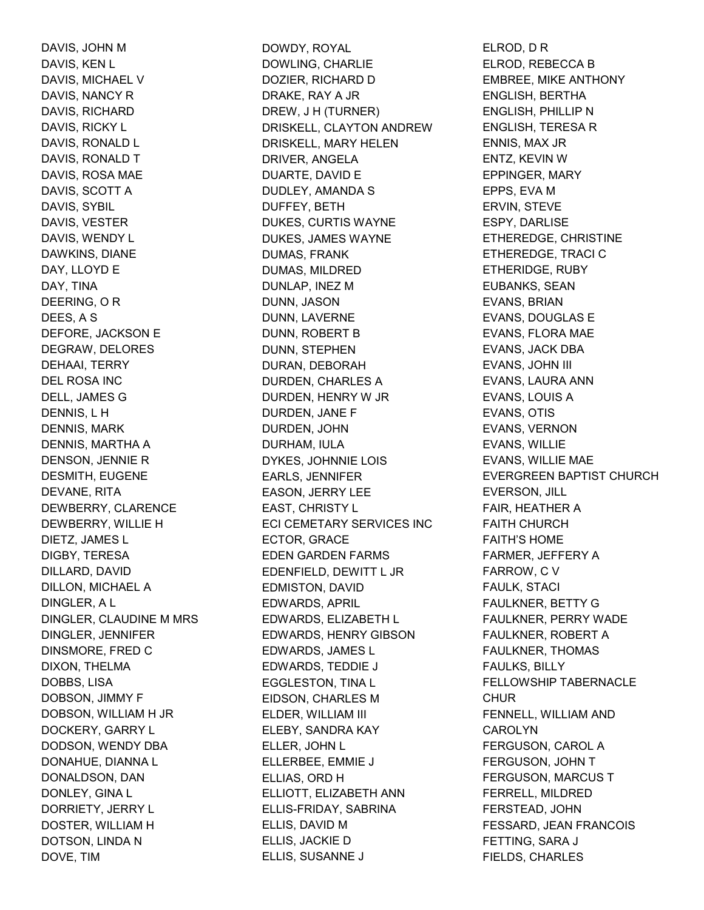DAVIS, JOHN M DAVIS, KEN L DAVIS, MICHAEL V DAVIS, NANCY R DAVIS, RICHARD DAVIS, RICKY L DAVIS, RONALD L DAVIS, RONALD T DAVIS, ROSA MAE DAVIS, SCOTT A DAVIS, SYBIL DAVIS, VESTER DAVIS, WENDY L DAWKINS, DIANE DAY, LLOYD E DAY, TINA DEERING, O R DEES, A S DEFORE, JACKSON E DEGRAW, DELORES DEHAAI, TERRY DEL ROSA INC DELL, JAMES G DENNIS, L H DENNIS, MARK DENNIS, MARTHA A DENSON, JENNIE R DESMITH, EUGENE DEVANE, RITA DEWBERRY, CLARENCE DEWBERRY, WILLIE H DIETZ, JAMES L DIGBY, TERESA DILLARD, DAVID DILLON, MICHAEL A DINGLER, A L DINGLER, CLAUDINE M MRS DINGLER, JENNIFER DINSMORE, FRED C DIXON, THELMA DOBBS, LISA DOBSON, JIMMY F DOBSON, WILLIAM H JR DOCKERY, GARRY L DODSON, WENDY DBA DONAHUE, DIANNA L DONALDSON, DAN DONLEY, GINA L DORRIETY, JERRY L DOSTER, WILLIAM H DOTSON, LINDA N DOVE, TIM

DOWDY, ROYAL DOWLING, CHARLIE DOZIER, RICHARD D DRAKE, RAY A JR DREW, J H (TURNER) DRISKELL, CLAYTON ANDREW DRISKELL, MARY HELEN DRIVER, ANGELA DUARTE, DAVID E DUDLEY, AMANDA S DUFFEY, BETH DUKES, CURTIS WAYNE DUKES, JAMES WAYNE DUMAS, FRANK DUMAS, MILDRED DUNLAP, INEZ M DUNN, JASON DUNN, LAVERNE DUNN, ROBERT B DUNN, STEPHEN DURAN, DEBORAH DURDEN, CHARLES A DURDEN, HENRY W JR DURDEN, JANE F DURDEN, JOHN DURHAM, IULA DYKES, JOHNNIE LOIS EARLS, JENNIFER EASON, JERRY LEE EAST, CHRISTY L ECI CEMETARY SERVICES INC ECTOR, GRACE EDEN GARDEN FARMS EDENFIELD, DEWITT L JR EDMISTON, DAVID EDWARDS, APRIL EDWARDS, ELIZABETH L EDWARDS, HENRY GIBSON EDWARDS, JAMES L EDWARDS, TEDDIE J EGGLESTON, TINA L EIDSON, CHARLES M ELDER, WILLIAM III ELEBY, SANDRA KAY ELLER, JOHN L ELLERBEE, EMMIE J ELLIAS, ORD H ELLIOTT, ELIZABETH ANN ELLIS-FRIDAY, SABRINA ELLIS, DAVID M ELLIS, JACKIE D ELLIS, SUSANNE J

ELROD, D R ELROD, REBECCA B EMBREE, MIKE ANTHONY ENGLISH, BERTHA ENGLISH, PHILLIP N ENGLISH, TERESA R ENNIS, MAX JR ENTZ, KEVIN W EPPINGER, MARY EPPS, EVA M ERVIN, STEVE ESPY, DARLISE ETHEREDGE, CHRISTINE ETHEREDGE, TRACI C ETHERIDGE, RUBY EUBANKS, SEAN EVANS, BRIAN EVANS, DOUGLAS E EVANS, FLORA MAE EVANS, JACK DBA EVANS, JOHN III EVANS, LAURA ANN EVANS, LOUIS A EVANS, OTIS EVANS, VERNON EVANS, WILLIE EVANS, WILLIE MAE EVERGREEN BAPTIST CHURCH EVERSON, JILL FAIR, HEATHER A FAITH CHURCH FAITH'S HOME FARMER, JEFFERY A FARROW, C V FAULK, STACI FAULKNER, BETTY G FAULKNER, PERRY WADE FAULKNER, ROBERT A FAULKNER, THOMAS FAULKS, BILLY FELLOWSHIP TABERNACLE **CHUR** FENNELL, WILLIAM AND **CAROLYN** FERGUSON, CAROL A FERGUSON, JOHN T FERGUSON, MARCUS T FERRELL, MILDRED FERSTEAD, JOHN FESSARD, JEAN FRANCOIS FETTING, SARA J FIELDS, CHARLES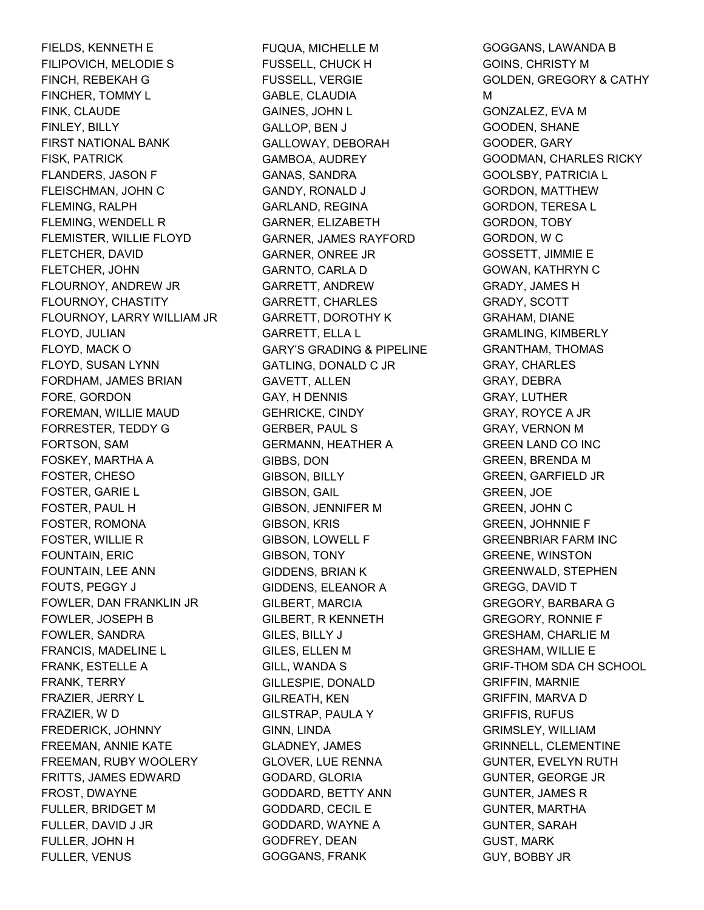FIELDS, KENNETH E FILIPOVICH, MELODIE S FINCH, REBEKAH G FINCHER, TOMMY L FINK, CLAUDE FINLEY, BILLY FIRST NATIONAL BANK FISK, PATRICK FLANDERS, JASON F FLEISCHMAN, JOHN C FLEMING, RALPH FLEMING, WENDELL R FLEMISTER, WILLIE FLOYD FLETCHER, DAVID FLETCHER, JOHN FLOURNOY, ANDREW JR FLOURNOY, CHASTITY FLOURNOY, LARRY WILLIAM JR FLOYD, JULIAN FLOYD, MACK O FLOYD, SUSAN LYNN FORDHAM, JAMES BRIAN FORE, GORDON FOREMAN, WILLIE MAUD FORRESTER, TEDDY G FORTSON, SAM FOSKEY, MARTHA A FOSTER, CHESO FOSTER, GARIE L FOSTER, PAUL H FOSTER, ROMONA FOSTER, WILLIE R FOUNTAIN, ERIC FOUNTAIN, LEE ANN FOUTS, PEGGY J FOWLER, DAN FRANKLIN JR FOWLER, JOSEPH B FOWLER, SANDRA FRANCIS, MADELINE L FRANK, ESTELLE A FRANK, TERRY FRAZIER, JERRY L FRAZIER, W D FREDERICK, JOHNNY FREEMAN, ANNIE KATE FREEMAN, RUBY WOOLERY FRITTS, JAMES EDWARD FROST, DWAYNE FULLER, BRIDGET M FULLER, DAVID J JR FULLER, JOHN H FULLER, VENUS

FUQUA, MICHELLE M FUSSELL, CHUCK H FUSSELL, VERGIE GABLE, CLAUDIA GAINES, JOHN L GALLOP, BEN J GALLOWAY, DEBORAH GAMBOA, AUDREY GANAS, SANDRA GANDY, RONALD J GARLAND, REGINA GARNER, ELIZABETH GARNER, JAMES RAYFORD GARNER, ONREE JR GARNTO, CARLA D GARRETT, ANDREW GARRETT, CHARLES GARRETT, DOROTHY K GARRETT, ELLA L GARY'S GRADING & PIPELINE GATLING, DONALD C JR GAVETT, ALLEN GAY, H DENNIS GEHRICKE, CINDY GERBER, PAUL S GERMANN, HEATHER A GIBBS, DON GIBSON, BILLY GIBSON, GAIL GIBSON, JENNIFER M GIBSON, KRIS GIBSON, LOWELL F GIBSON, TONY GIDDENS, BRIAN K GIDDENS, ELEANOR A GILBERT, MARCIA GILBERT, R KENNETH GILES, BILLY J GILES, ELLEN M GILL, WANDA S GILLESPIE, DONALD GILREATH, KEN GILSTRAP, PAULA Y GINN, LINDA GLADNEY, JAMES GLOVER, LUE RENNA GODARD, GLORIA GODDARD, BETTY ANN GODDARD, CECIL E GODDARD, WAYNE A GODFREY, DEAN GOGGANS, FRANK

GOGGANS, LAWANDA B GOINS, CHRISTY M GOLDEN, GREGORY & CATHY M GONZALEZ, EVA M GOODEN, SHANE GOODER, GARY GOODMAN, CHARLES RICKY GOOLSBY, PATRICIA L GORDON, MATTHEW GORDON, TERESA L GORDON, TOBY GORDON, W C GOSSETT, JIMMIE E GOWAN, KATHRYN C GRADY, JAMES H GRADY, SCOTT GRAHAM, DIANE GRAMLING, KIMBERLY GRANTHAM, THOMAS GRAY, CHARLES GRAY, DEBRA GRAY, LUTHER GRAY, ROYCE A JR GRAY, VERNON M GREEN LAND CO INC GREEN, BRENDA M GREEN, GARFIELD JR GREEN, JOE GREEN, JOHN C GREEN, JOHNNIE F GREENBRIAR FARM INC GREENE, WINSTON GREENWALD, STEPHEN GREGG, DAVID T GREGORY, BARBARA G GREGORY, RONNIE F GRESHAM, CHARLIE M GRESHAM, WILLIE E GRIF-THOM SDA CH SCHOOL GRIFFIN, MARNIE GRIFFIN, MARVA D GRIFFIS, RUFUS GRIMSLEY, WILLIAM GRINNELL, CLEMENTINE GUNTER, EVELYN RUTH GUNTER, GEORGE JR GUNTER, JAMES R GUNTER, MARTHA GUNTER, SARAH GUST, MARK GUY, BOBBY JR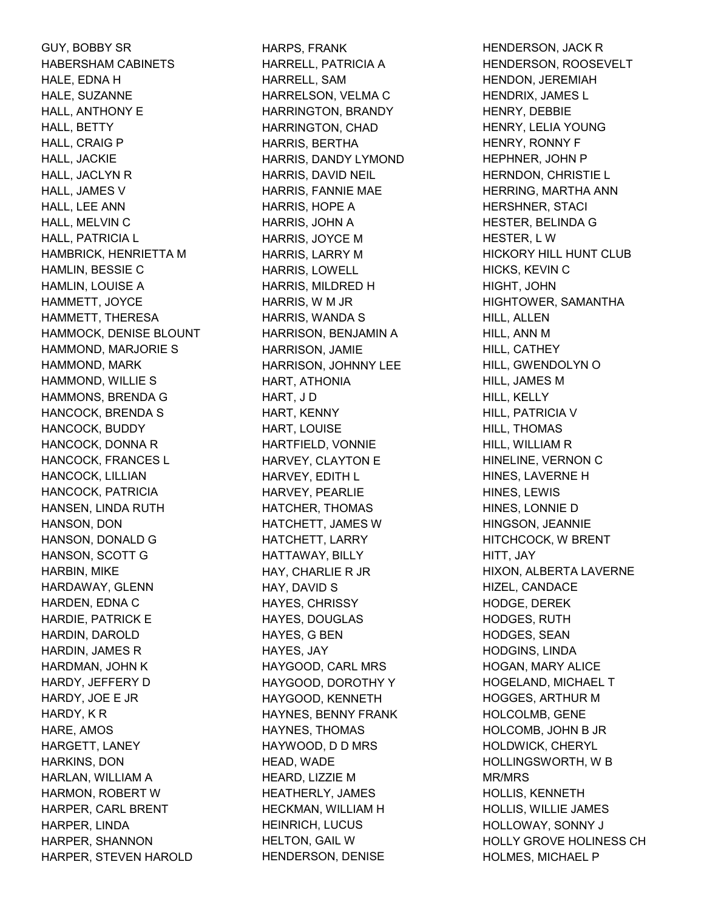GUY, BOBBY SR HABERSHAM CABINETS HALE, EDNA H HALE, SUZANNE HALL, ANTHONY E HALL, BETTY HALL, CRAIG P HALL, JACKIE HALL, JACLYN R HALL, JAMES V HALL, LEE ANN HALL, MELVIN C HALL, PATRICIA L HAMBRICK, HENRIETTA M HAMLIN, BESSIE C HAMLIN, LOUISE A HAMMETT, JOYCE HAMMETT, THERESA HAMMOCK, DENISE BLOUNT HAMMOND, MARJORIE S HAMMOND, MARK HAMMOND, WILLIE S HAMMONS, BRENDA G HANCOCK, BRENDA S HANCOCK, BUDDY HANCOCK, DONNA R HANCOCK, FRANCES L HANCOCK, LILLIAN HANCOCK, PATRICIA HANSEN, LINDA RUTH HANSON, DON HANSON, DONALD G HANSON, SCOTT G HARBIN, MIKE HARDAWAY, GLENN HARDEN, EDNA C HARDIE, PATRICK E HARDIN, DAROLD HARDIN, JAMES R HARDMAN, JOHN K HARDY, JEFFERY D HARDY, JOE E JR HARDY, K R HARE, AMOS HARGETT, LANEY HARKINS, DON HARLAN, WILLIAM A HARMON, ROBERT W HARPER, CARL BRENT HARPER, LINDA HARPER, SHANNON HARPER, STEVEN HAROLD

HARPS, FRANK HARRELL, PATRICIA A HARRELL, SAM HARRELSON, VELMA C HARRINGTON, BRANDY HARRINGTON, CHAD HARRIS, BERTHA HARRIS, DANDY LYMOND HARRIS, DAVID NEIL HARRIS, FANNIE MAE HARRIS, HOPE A HARRIS, JOHN A HARRIS, JOYCE M HARRIS, LARRY M HARRIS, LOWELL HARRIS, MILDRED H HARRIS, W M JR HARRIS, WANDA S HARRISON, BENJAMIN A HARRISON, JAMIE HARRISON, JOHNNY LEE HART, ATHONIA HART, J D HART, KENNY HART, LOUISE HARTFIELD, VONNIE HARVEY, CLAYTON E HARVEY, EDITH L HARVEY, PEARLIE HATCHER, THOMAS HATCHETT, JAMES W HATCHETT, LARRY HATTAWAY, BILLY HAY, CHARLIE R JR HAY, DAVID S HAYES, CHRISSY HAYES, DOUGLAS HAYES, G BEN HAYES, JAY HAYGOOD, CARL MRS HAYGOOD, DOROTHY Y HAYGOOD, KENNETH HAYNES, BENNY FRANK HAYNES, THOMAS HAYWOOD, D D MRS HEAD, WADE HEARD, LIZZIE M HEATHERLY, JAMES HECKMAN, WILLIAM H HEINRICH, LUCUS HELTON, GAIL W HENDERSON, DENISE

HENDERSON, JACK R HENDERSON, ROOSEVELT HENDON, JEREMIAH HENDRIX, JAMES L HENRY, DEBBIE HENRY, LELIA YOUNG HENRY, RONNY F HEPHNER, JOHN P HERNDON, CHRISTIE L HERRING, MARTHA ANN HERSHNER, STACI HESTER, BELINDA G HESTER, L W HICKORY HILL HUNT CLUB HICKS, KEVIN C HIGHT, JOHN HIGHTOWER, SAMANTHA HILL, ALLEN HILL, ANN M HILL, CATHEY HILL, GWENDOLYN O HILL, JAMES M HILL, KELLY HILL, PATRICIA V HILL, THOMAS HILL, WILLIAM R HINELINE, VERNON C HINES, LAVERNE H HINES, LEWIS HINES, LONNIE D HINGSON, JEANNIE HITCHCOCK, W BRENT HITT, JAY HIXON, ALBERTA LAVERNE HIZEL, CANDACE HODGE, DEREK HODGES, RUTH HODGES, SEAN HODGINS, LINDA HOGAN, MARY ALICE HOGELAND, MICHAEL T HOGGES, ARTHUR M HOLCOLMB, GENE HOLCOMB, JOHN B JR HOLDWICK, CHERYL HOLLINGSWORTH, W B MR/MRS HOLLIS, KENNETH HOLLIS, WILLIE JAMES HOLLOWAY, SONNY J HOLLY GROVE HOLINESS CH HOLMES, MICHAEL P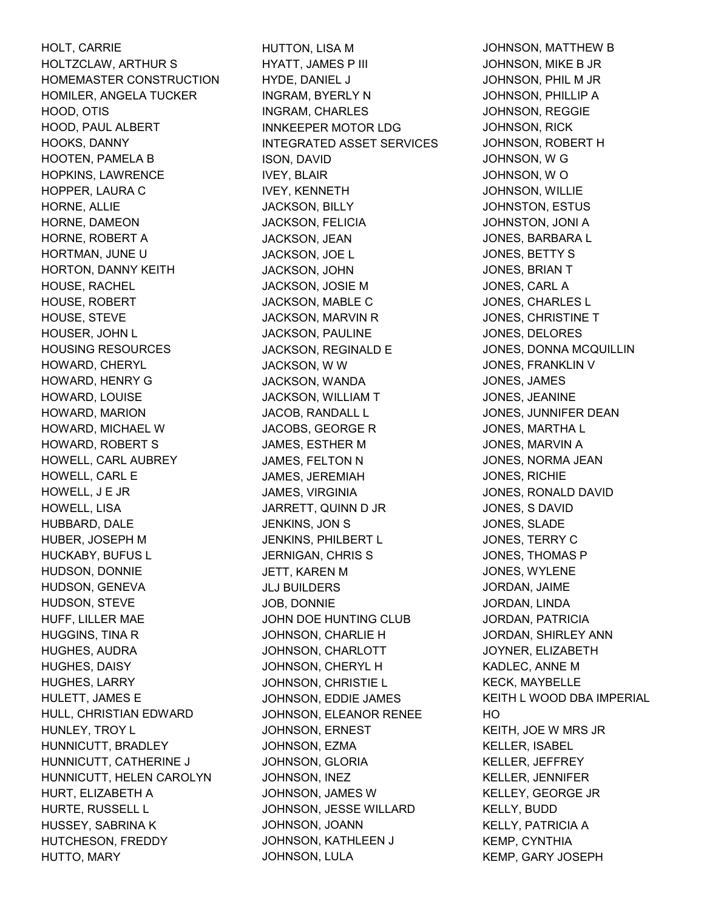HOLT, CARRIE HOLTZCLAW, ARTHUR S HOMEMASTER CONSTRUCTION HOMILER, ANGELA TUCKER HOOD, OTIS HOOD, PAUL ALBERT HOOKS, DANNY HOOTEN, PAMELA B HOPKINS, LAWRENCE HOPPER, LAURA C HORNE, ALLIE HORNE, DAMEON HORNE, ROBERT A HORTMAN, JUNE U HORTON, DANNY KEITH HOUSE, RACHEL HOUSE, ROBERT HOUSE, STEVE HOUSER, JOHN L HOUSING RESOURCES HOWARD, CHERYL HOWARD, HENRY G HOWARD, LOUISE HOWARD, MARION HOWARD, MICHAEL W HOWARD, ROBERT S HOWELL, CARL AUBREY HOWELL, CARL E HOWELL, J E JR HOWELL, LISA HUBBARD, DALE HUBER, JOSEPH M HUCKABY, BUFUS L HUDSON, DONNIE HUDSON, GENEVA HUDSON, STEVE HUFF, LILLER MAE HUGGINS, TINA R HUGHES, AUDRA HUGHES, DAISY HUGHES, LARRY HULETT, JAMES E HULL, CHRISTIAN EDWARD HUNLEY, TROY L HUNNICUTT, BRADLEY HUNNICUTT, CATHERINE J HUNNICUTT, HELEN CAROLYN HURT, ELIZABETH A HURTE, RUSSELL L HUSSEY, SABRINA K HUTCHESON, FREDDY HUTTO, MARY

HUTTON, LISA M HYATT, JAMES P III HYDE, DANIEL J INGRAM, BYERLY N INGRAM, CHARLES INNKEEPER MOTOR LDG INTEGRATED ASSET SERVICES ISON, DAVID IVEY, BLAIR IVEY, KENNETH JACKSON, BILLY JACKSON, FELICIA JACKSON, JEAN JACKSON, JOE L JACKSON, JOHN JACKSON, JOSIE M JACKSON, MABLE C JACKSON, MARVIN R JACKSON, PAULINE JACKSON, REGINALD E JACKSON, W W JACKSON, WANDA JACKSON, WILLIAM T JACOB, RANDALL L JACOBS, GEORGE R JAMES, ESTHER M JAMES, FELTON N JAMES, JEREMIAH JAMES, VIRGINIA JARRETT, QUINN D JR JENKINS, JON S JENKINS, PHILBERT L JERNIGAN, CHRIS S JETT, KAREN M JLJ BUILDERS JOB, DONNIE JOHN DOE HUNTING CLUB JOHNSON, CHARLIE H JOHNSON, CHARLOTT JOHNSON, CHERYL H JOHNSON, CHRISTIE L JOHNSON, EDDIE JAMES JOHNSON, ELEANOR RENEE JOHNSON, ERNEST JOHNSON, EZMA JOHNSON, GLORIA JOHNSON, INEZ JOHNSON, JAMES W JOHNSON, JESSE WILLARD JOHNSON, JOANN JOHNSON, KATHLEEN J JOHNSON, LULA

JOHNSON, MATTHEW B JOHNSON, MIKE B JR JOHNSON, PHIL M JR JOHNSON, PHILLIP A JOHNSON, REGGIE JOHNSON, RICK JOHNSON, ROBERT H JOHNSON, W G JOHNSON, W O JOHNSON, WILLIE JOHNSTON, ESTUS JOHNSTON, JONI A JONES, BARBARA L JONES, BETTY S JONES, BRIAN T JONES, CARL A JONES, CHARLES L JONES, CHRISTINE T JONES, DELORES JONES, DONNA MCQUILLIN JONES, FRANKLIN V JONES, JAMES JONES, JEANINE JONES, JUNNIFER DEAN JONES, MARTHA L JONES, MARVIN A JONES, NORMA JEAN JONES, RICHIE JONES, RONALD DAVID JONES, S DAVID JONES, SLADE JONES, TERRY C JONES, THOMAS P JONES, WYLENE JORDAN, JAIME JORDAN, LINDA JORDAN, PATRICIA JORDAN, SHIRLEY ANN JOYNER, ELIZABETH KADLEC, ANNE M KECK, MAYBELLE KEITH L WOOD DBA IMPERIAL HO KEITH, JOE W MRS JR KELLER, ISABEL KELLER, JEFFREY KELLER, JENNIFER KELLEY, GEORGE JR KELLY, BUDD KELLY, PATRICIA A KEMP, CYNTHIA KEMP, GARY JOSEPH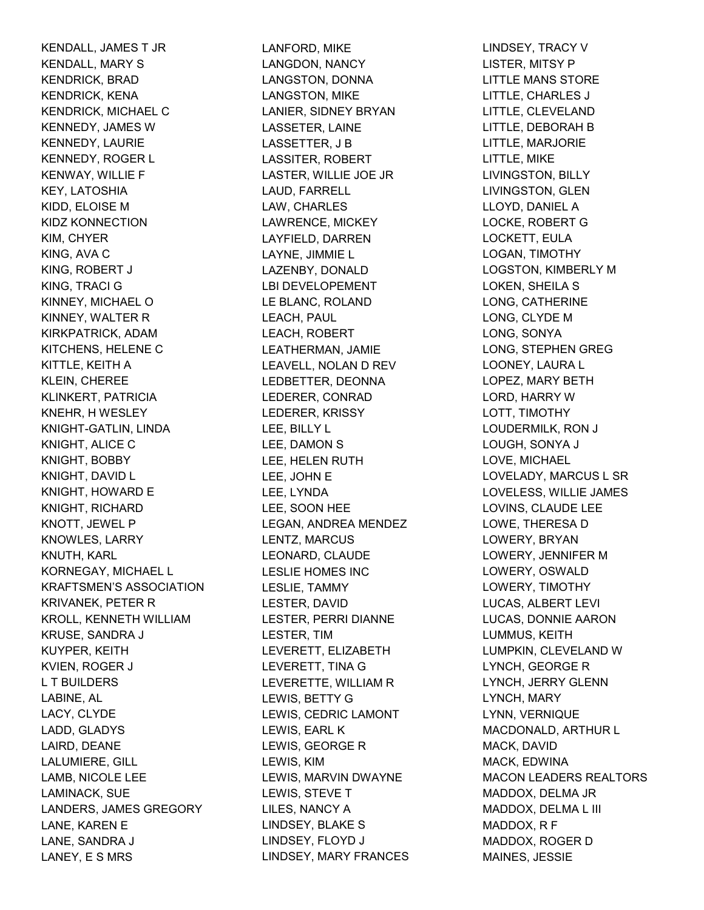KENDALL, JAMES T JR KENDALL, MARY S KENDRICK, BRAD KENDRICK, KENA KENDRICK, MICHAEL C KENNEDY, JAMES W KENNEDY, LAURIE KENNEDY, ROGER L KENWAY, WILLIE F KEY, LATOSHIA KIDD, ELOISE M KIDZ KONNECTION KIM, CHYER KING, AVA C KING, ROBERT J KING, TRACI G KINNEY, MICHAEL O KINNEY, WALTER R KIRKPATRICK, ADAM KITCHENS, HELENE C KITTLE, KEITH A KLEIN, CHEREE KLINKERT, PATRICIA KNEHR, H WESLEY KNIGHT-GATLIN, LINDA KNIGHT, ALICE C KNIGHT, BOBBY KNIGHT, DAVID L KNIGHT, HOWARD E KNIGHT, RICHARD KNOTT, JEWEL P KNOWLES, LARRY KNUTH, KARL KORNEGAY, MICHAEL L KRAFTSMEN'S ASSOCIATION KRIVANEK, PETER R KROLL, KENNETH WILLIAM KRUSE, SANDRA J KUYPER, KEITH KVIEN, ROGER J L T BUILDERS LABINE, AL LACY, CLYDE LADD, GLADYS LAIRD, DEANE LALUMIERE, GILL LAMB, NICOLE LEE LAMINACK, SUE LANDERS, JAMES GREGORY LANE, KAREN E LANE, SANDRA J LANEY, E S MRS

LANFORD, MIKE LANGDON, NANCY LANGSTON, DONNA LANGSTON, MIKE LANIER, SIDNEY BRYAN LASSETER, LAINE LASSETTER, J B LASSITER, ROBERT LASTER, WILLIE JOE JR LAUD, FARRELL LAW, CHARLES LAWRENCE, MICKEY LAYFIELD, DARREN LAYNE, JIMMIE L LAZENBY, DONALD LBI DEVELOPEMENT LE BLANC, ROLAND LEACH, PAUL LEACH, ROBERT LEATHERMAN, JAMIE LEAVELL, NOLAN D REV LEDBETTER, DEONNA LEDERER, CONRAD LEDERER, KRISSY LEE, BILLY L LEE, DAMON S LEE, HELEN RUTH LEE, JOHN E LEE, LYNDA LEE, SOON HEE LEGAN, ANDREA MENDEZ LENTZ, MARCUS LEONARD, CLAUDE LESLIE HOMES INC LESLIE, TAMMY LESTER, DAVID LESTER, PERRI DIANNE LESTER, TIM LEVERETT, ELIZABETH LEVERETT, TINA G LEVERETTE, WILLIAM R LEWIS, BETTY G LEWIS, CEDRIC LAMONT LEWIS, EARL K LEWIS, GEORGE R LEWIS, KIM LEWIS, MARVIN DWAYNE LEWIS, STEVE T LILES, NANCY A LINDSEY, BLAKE S LINDSEY, FLOYD J LINDSEY, MARY FRANCES

LINDSEY, TRACY V LISTER, MITSY P LITTLE MANS STORE LITTLE, CHARLES J LITTLE, CLEVELAND LITTLE, DEBORAH B LITTLE, MARJORIE LITTLE, MIKE LIVINGSTON, BILLY LIVINGSTON, GLEN LLOYD, DANIEL A LOCKE, ROBERT G LOCKETT, EULA LOGAN, TIMOTHY LOGSTON, KIMBERLY M LOKEN, SHEILA S LONG, CATHERINE LONG, CLYDE M LONG, SONYA LONG, STEPHEN GREG LOONEY, LAURA L LOPEZ, MARY BETH LORD, HARRY W LOTT, TIMOTHY LOUDERMILK, RON J LOUGH, SONYA J LOVE, MICHAEL LOVELADY, MARCUS L SR LOVELESS, WILLIE JAMES LOVINS, CLAUDE LEE LOWE, THERESA D LOWERY, BRYAN LOWERY, JENNIFER M LOWERY, OSWALD LOWERY, TIMOTHY LUCAS, ALBERT LEVI LUCAS, DONNIE AARON LUMMUS, KEITH LUMPKIN, CLEVELAND W LYNCH, GEORGE R LYNCH, JERRY GLENN LYNCH, MARY LYNN, VERNIQUE MACDONALD, ARTHUR L MACK, DAVID MACK, EDWINA MACON LEADERS REALTORS MADDOX, DELMA JR MADDOX, DELMA L III MADDOX, R F MADDOX, ROGER D MAINES, JESSIE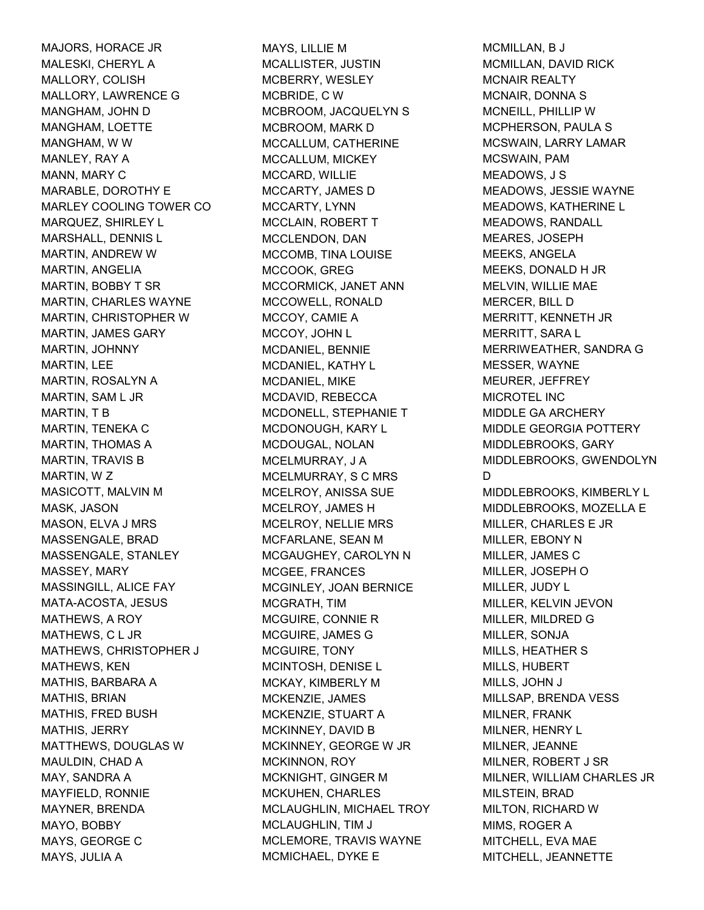MAJORS, HORACE JR MALESKI, CHERYL A MALLORY, COLISH MALLORY, LAWRENCE G MANGHAM, JOHN D MANGHAM, LOETTE MANGHAM, W W MANLEY, RAY A MANN, MARY C MARABLE, DOROTHY E MARLEY COOLING TOWER CO MARQUEZ, SHIRLEY L MARSHALL, DENNIS L MARTIN, ANDREW W MARTIN, ANGELIA MARTIN, BOBBY T SR MARTIN, CHARLES WAYNE MARTIN, CHRISTOPHER W MARTIN, JAMES GARY MARTIN, JOHNNY MARTIN, LEE MARTIN, ROSALYN A MARTIN, SAM L JR MARTIN, T B MARTIN, TENEKA C MARTIN, THOMAS A MARTIN, TRAVIS B MARTIN, W Z MASICOTT, MALVIN M MASK, JASON MASON, ELVA J MRS MASSENGALE, BRAD MASSENGALE, STANLEY MASSEY, MARY MASSINGILL, ALICE FAY MATA-ACOSTA, JESUS MATHEWS, A ROY MATHEWS, C L JR MATHEWS, CHRISTOPHER J MATHEWS, KEN MATHIS, BARBARA A MATHIS, BRIAN MATHIS, FRED BUSH MATHIS, JERRY MATTHEWS, DOUGLAS W MAULDIN, CHAD A MAY, SANDRA A MAYFIELD, RONNIE MAYNER, BRENDA MAYO, BOBBY MAYS, GEORGE C MAYS, JULIA A

MAYS, LILLIE M MCALLISTER, JUSTIN MCBERRY, WESLEY MCBRIDE, C W MCBROOM, JACQUELYN S MCBROOM, MARK D MCCALLUM, CATHERINE MCCALLUM, MICKEY MCCARD, WILLIE MCCARTY, JAMES D MCCARTY, LYNN MCCLAIN, ROBERT T MCCLENDON, DAN MCCOMB, TINA LOUISE MCCOOK, GREG MCCORMICK, JANET ANN MCCOWELL, RONALD MCCOY, CAMIE A MCCOY, JOHN L MCDANIEL, BENNIE MCDANIEL, KATHY L MCDANIEL, MIKE MCDAVID, REBECCA MCDONELL, STEPHANIE T MCDONOUGH, KARY L MCDOUGAL, NOLAN MCELMURRAY, J A MCELMURRAY, S C MRS MCELROY, ANISSA SUE MCELROY, JAMES H MCELROY, NELLIE MRS MCFARLANE, SEAN M MCGAUGHEY, CAROLYN N MCGEE, FRANCES MCGINLEY, JOAN BERNICE MCGRATH, TIM MCGUIRE, CONNIE R MCGUIRE, JAMES G MCGUIRE, TONY MCINTOSH, DENISE L MCKAY, KIMBERLY M MCKENZIE, JAMES MCKENZIE, STUART A MCKINNEY, DAVID B MCKINNEY, GEORGE W JR MCKINNON, ROY MCKNIGHT, GINGER M MCKUHEN, CHARLES MCLAUGHLIN, MICHAEL TROY MCLAUGHLIN, TIM J MCLEMORE, TRAVIS WAYNE MCMICHAEL, DYKE E

MCMILLAN, B J MCMILLAN, DAVID RICK MCNAIR REALTY MCNAIR, DONNA S MCNEILL, PHILLIP W MCPHERSON, PAULA S MCSWAIN, LARRY LAMAR MCSWAIN, PAM MEADOWS, J S MEADOWS, JESSIE WAYNE MEADOWS, KATHERINE L MEADOWS, RANDALL MEARES, JOSEPH MEEKS, ANGELA MEEKS, DONALD H JR MELVIN, WILLIE MAE MERCER, BILL D MERRITT, KENNETH JR MERRITT, SARA L MERRIWEATHER, SANDRA G MESSER, WAYNE MEURER, JEFFREY MICROTEL INC MIDDLE GA ARCHERY MIDDLE GEORGIA POTTERY MIDDLEBROOKS, GARY MIDDLEBROOKS, GWENDOLYN D MIDDLEBROOKS, KIMBERLY L MIDDLEBROOKS, MOZELLA E MILLER, CHARLES E JR MILLER, EBONY N MILLER, JAMES C MILLER, JOSEPH O MILLER, JUDY L MILLER, KELVIN JEVON MILLER, MILDRED G MILLER, SONJA MILLS, HEATHER S MILLS, HUBERT MILLS, JOHN J MILLSAP, BRENDA VESS MILNER, FRANK MILNER, HENRY L MILNER, JEANNE MILNER, ROBERT J SR MILNER, WILLIAM CHARLES JR MILSTEIN, BRAD MILTON, RICHARD W MIMS, ROGER A MITCHELL, EVA MAE MITCHELL, JEANNETTE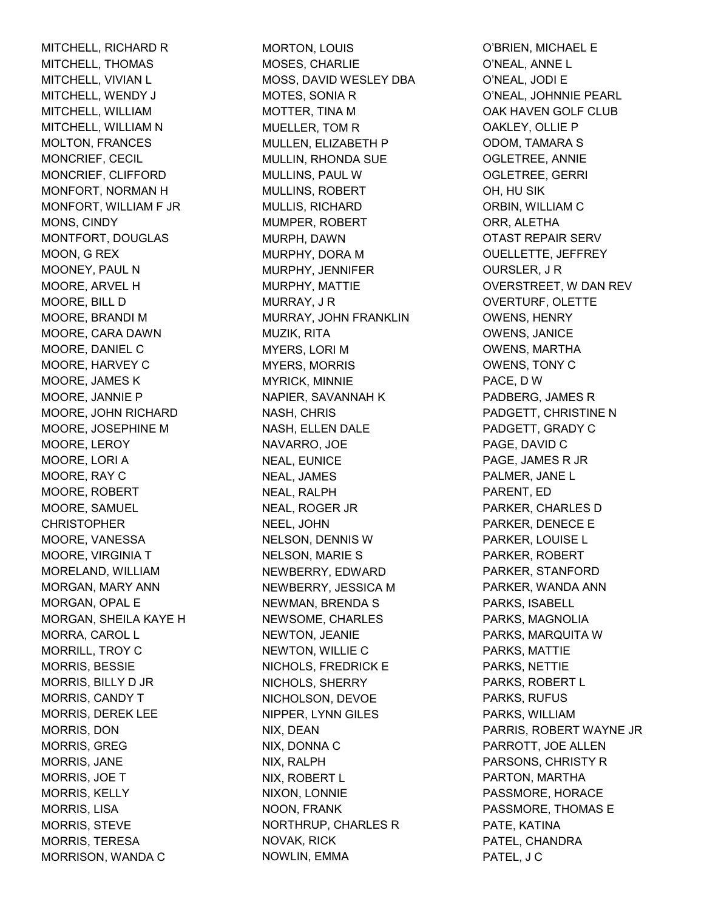MITCHELL, RICHARD R MITCHELL, THOMAS MITCHELL, VIVIAN L MITCHELL, WENDY J MITCHELL, WILLIAM MITCHELL, WILLIAM N MOLTON, FRANCES MONCRIEF, CECIL MONCRIEF, CLIFFORD MONFORT, NORMAN H MONFORT, WILLIAM F JR MONS, CINDY MONTFORT, DOUGLAS MOON, G REX MOONEY, PAUL N MOORE, ARVEL H MOORE, BILL D MOORE, BRANDI M MOORE, CARA DAWN MOORE, DANIEL C MOORE, HARVEY C MOORE, JAMES K MOORE, JANNIE P MOORE, JOHN RICHARD MOORE, JOSEPHINE M MOORE, LEROY MOORE, LORI A MOORE, RAY C MOORE, ROBERT MOORE, SAMUEL **CHRISTOPHER** MOORE, VANESSA MOORE, VIRGINIA T MORELAND, WILLIAM MORGAN, MARY ANN MORGAN, OPAL E MORGAN, SHEILA KAYE H MORRA, CAROL L MORRILL, TROY C MORRIS, BESSIE MORRIS, BILLY D JR MORRIS, CANDY T MORRIS, DEREK LEE MORRIS, DON MORRIS, GREG MORRIS, JANE MORRIS, JOE T MORRIS, KELLY MORRIS, LISA MORRIS, STEVE MORRIS, TERESA MORRISON, WANDA C

MORTON, LOUIS MOSES, CHARLIE MOSS, DAVID WESLEY DBA MOTES, SONIA R MOTTER, TINA M MUELLER, TOM R MULLEN, ELIZABETH P MULLIN, RHONDA SUE MULLINS, PAUL W MULLINS, ROBERT MULLIS, RICHARD MUMPER, ROBERT MURPH, DAWN MURPHY, DORA M MURPHY, JENNIFER MURPHY, MATTIE MURRAY, J R MURRAY, JOHN FRANKLIN MUZIK, RITA MYERS, LORI M MYERS, MORRIS MYRICK, MINNIE NAPIER, SAVANNAH K NASH, CHRIS NASH, ELLEN DALE NAVARRO, JOE NEAL, EUNICE NEAL, JAMES NEAL, RALPH NEAL, ROGER JR NEEL, JOHN NELSON, DENNIS W NELSON, MARIE S NEWBERRY, EDWARD NEWBERRY, JESSICA M NEWMAN, BRENDA S NEWSOME, CHARLES NEWTON, JEANIE NEWTON, WILLIE C NICHOLS, FREDRICK E NICHOLS, SHERRY NICHOLSON, DEVOE NIPPER, LYNN GILES NIX, DEAN NIX, DONNA C NIX, RALPH NIX, ROBERT L NIXON, LONNIE NOON, FRANK NORTHRUP, CHARLES R NOVAK, RICK NOWLIN, EMMA

O'BRIEN, MICHAEL E O'NEAL, ANNE L O'NEAL, JODI E O'NEAL, JOHNNIE PEARL OAK HAVEN GOLF CLUB OAKLEY, OLLIE P ODOM, TAMARA S OGLETREE, ANNIE OGLETREE, GERRI OH, HU SIK ORBIN, WILLIAM C ORR, ALETHA OTAST REPAIR SERV OUELLETTE, JEFFREY OURSLER, J R OVERSTREET, W DAN REV OVERTURF, OLETTE OWENS, HENRY OWENS, JANICE OWENS, MARTHA OWENS, TONY C PACE, D W PADBERG, JAMES R PADGETT, CHRISTINE N PADGETT, GRADY C PAGE, DAVID C PAGE, JAMES R JR PALMER, JANE L PARENT, ED PARKER, CHARLES D PARKER, DENECE E PARKER, LOUISE L PARKER, ROBERT PARKER, STANFORD PARKER, WANDA ANN PARKS, ISABELL PARKS, MAGNOLIA PARKS, MARQUITA W PARKS, MATTIE PARKS, NETTIE PARKS, ROBERT L PARKS, RUFUS PARKS, WILLIAM PARRIS, ROBERT WAYNE JR PARROTT, JOE ALLEN PARSONS, CHRISTY R PARTON, MARTHA PASSMORE, HORACE PASSMORE, THOMAS E PATE, KATINA PATEL, CHANDRA PATEL, J C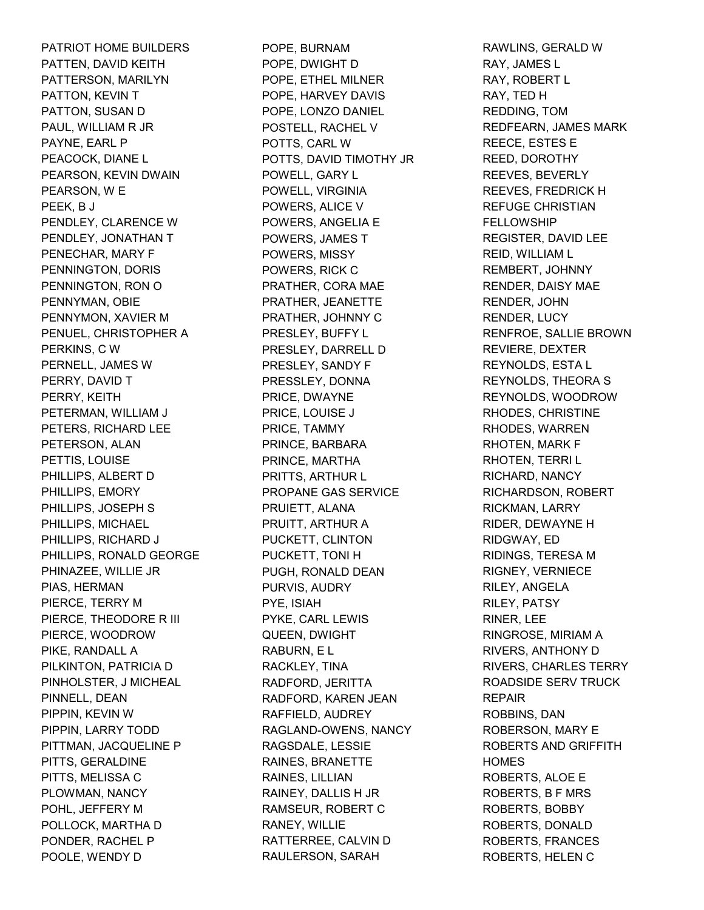PATRIOT HOME BUILDERS PATTEN, DAVID KEITH PATTERSON, MARILYN PATTON, KEVIN T PATTON, SUSAN D PAUL, WILLIAM R JR PAYNE, EARL P PEACOCK, DIANE L PEARSON, KEVIN DWAIN PEARSON, W E PEEK, B J PENDLEY, CLARENCE W PENDLEY, JONATHAN T PENECHAR, MARY F PENNINGTON, DORIS PENNINGTON, RON O PENNYMAN, OBIE PENNYMON, XAVIER M PENUEL, CHRISTOPHER A PERKINS, C W PERNELL, JAMES W PERRY, DAVID T PERRY, KEITH PETERMAN, WILLIAM J PETERS, RICHARD LEE PETERSON, ALAN PETTIS, LOUISE PHILLIPS, ALBERT D PHILLIPS, EMORY PHILLIPS, JOSEPH S PHILLIPS, MICHAEL PHILLIPS, RICHARD J PHILLIPS, RONALD GEORGE PHINAZEE, WILLIE JR PIAS, HERMAN PIERCE, TERRY M PIERCE, THEODORE R III PIERCE, WOODROW PIKE, RANDALL A PILKINTON, PATRICIA D PINHOLSTER, J MICHEAL PINNELL, DEAN PIPPIN, KEVIN W PIPPIN, LARRY TODD PITTMAN, JACQUELINE P PITTS, GERALDINE PITTS, MELISSA C PLOWMAN, NANCY POHL, JEFFERY M POLLOCK, MARTHA D PONDER, RACHEL P POOLE, WENDY D

POPE, BURNAM POPE, DWIGHT D POPE, ETHEL MILNER POPE, HARVEY DAVIS POPE, LONZO DANIEL POSTELL, RACHEL V POTTS, CARL W POTTS, DAVID TIMOTHY JR POWELL, GARY L POWELL, VIRGINIA POWERS, ALICE V POWERS, ANGELIA E POWERS, JAMES T POWERS, MISSY POWERS, RICK C PRATHER, CORA MAE PRATHER, JEANETTE PRATHER, JOHNNY C PRESLEY, BUFFY L PRESLEY, DARRELL D PRESLEY, SANDY F PRESSLEY, DONNA PRICE, DWAYNE PRICE, LOUISE J PRICE, TAMMY PRINCE, BARBARA PRINCE, MARTHA PRITTS, ARTHUR L PROPANE GAS SERVICE PRUIETT, ALANA PRUITT, ARTHUR A PUCKETT, CLINTON PUCKETT, TONI H PUGH, RONALD DEAN PURVIS, AUDRY PYE, ISIAH PYKE, CARL LEWIS QUEEN, DWIGHT RABURN, E L RACKLEY, TINA RADFORD, JERITTA RADFORD, KAREN JEAN RAFFIELD, AUDREY RAGLAND-OWENS, NANCY RAGSDALE, LESSIE RAINES, BRANETTE RAINES, LILLIAN RAINEY, DALLIS H JR RAMSEUR, ROBERT C RANEY, WILLIE RATTERREE, CALVIN D RAULERSON, SARAH

RAWLINS, GERALD W RAY, JAMES L RAY, ROBERT L RAY, TED H REDDING, TOM REDFEARN, JAMES MARK REECE, ESTES E REED, DOROTHY REEVES, BEVERLY REEVES, FREDRICK H REFUGE CHRISTIAN FELLOWSHIP REGISTER, DAVID LEE REID, WILLIAM L REMBERT, JOHNNY RENDER, DAISY MAE RENDER, JOHN RENDER, LUCY RENFROE, SALLIE BROWN REVIERE, DEXTER REYNOLDS, ESTA L REYNOLDS, THEORA S REYNOLDS, WOODROW RHODES, CHRISTINE RHODES, WARREN RHOTEN, MARK F RHOTEN, TERRI L RICHARD, NANCY RICHARDSON, ROBERT RICKMAN, LARRY RIDER, DEWAYNE H RIDGWAY, ED RIDINGS, TERESA M RIGNEY, VERNIECE RILEY, ANGELA RILEY, PATSY RINER, LEE RINGROSE, MIRIAM A RIVERS, ANTHONY D RIVERS, CHARLES TERRY ROADSIDE SERV TRUCK REPAIR ROBBINS, DAN ROBERSON, MARY E ROBERTS AND GRIFFITH **HOMES** ROBERTS, ALOE E ROBERTS, B F MRS ROBERTS, BOBBY ROBERTS, DONALD ROBERTS, FRANCES ROBERTS, HELEN C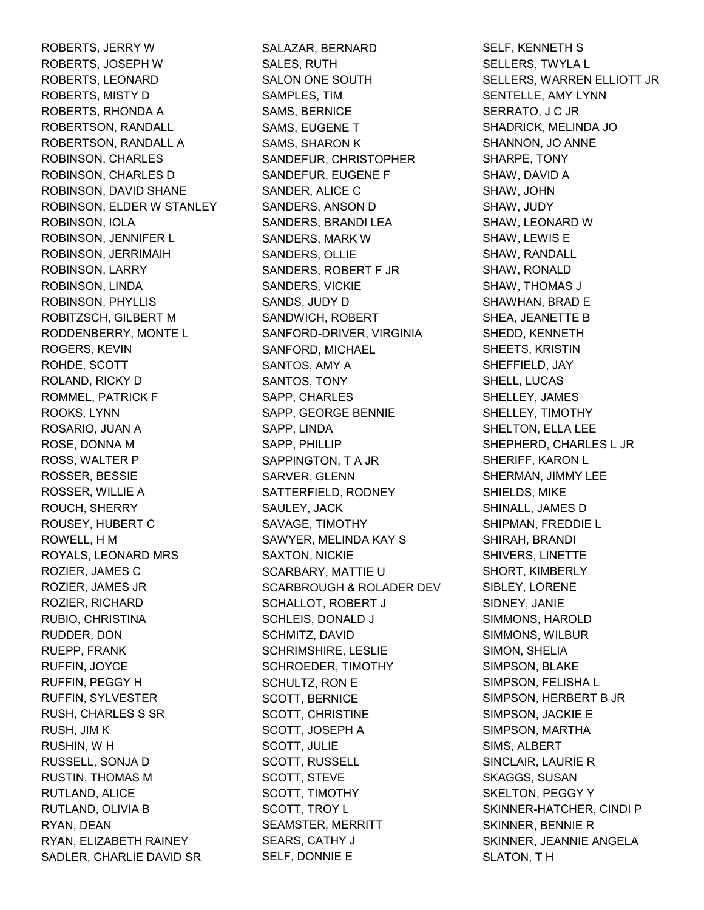ROBERTS, JERRY W ROBERTS, JOSEPH W ROBERTS, LEONARD ROBERTS, MISTY D ROBERTS, RHONDA A ROBERTSON, RANDALL ROBERTSON, RANDALL A ROBINSON, CHARLES ROBINSON, CHARLES D ROBINSON, DAVID SHANE ROBINSON, ELDER W STANLEY ROBINSON, IOLA ROBINSON, JENNIFER L ROBINSON, JERRIMAIH ROBINSON, LARRY ROBINSON, LINDA ROBINSON, PHYLLIS ROBITZSCH, GILBERT M RODDENBERRY, MONTE L ROGERS, KEVIN ROHDE, SCOTT ROLAND, RICKY D ROMMEL, PATRICK F ROOKS, LYNN ROSARIO, JUAN A ROSE, DONNA M ROSS, WALTER P ROSSER, BESSIE ROSSER, WILLIE A ROUCH, SHERRY ROUSEY, HUBERT C ROWELL, H M ROYALS, LEONARD MRS ROZIER, JAMES C ROZIER, JAMES JR ROZIER, RICHARD RUBIO, CHRISTINA RUDDER, DON RUEPP, FRANK RUFFIN, JOYCE RUFFIN, PEGGY H RUFFIN, SYLVESTER RUSH, CHARLES S SR RUSH, JIM K RUSHIN, W H RUSSELL, SONJA D RUSTIN, THOMAS M RUTLAND, ALICE RUTLAND, OLIVIA B RYAN, DEAN RYAN, ELIZABETH RAINEY SADLER, CHARLIE DAVID SR

SALAZAR, BERNARD SALES, RUTH SALON ONE SOUTH SAMPLES, TIM SAMS, BERNICE SAMS, EUGENE T SAMS, SHARON K SANDEFUR, CHRISTOPHER SANDEFUR, EUGENE F SANDER, ALICE C SANDERS, ANSON D SANDERS, BRANDI LEA SANDERS, MARK W SANDERS, OLLIE SANDERS, ROBERT F JR SANDERS, VICKIE SANDS, JUDY D SANDWICH, ROBERT SANFORD-DRIVER, VIRGINIA SANFORD, MICHAEL SANTOS, AMY A SANTOS, TONY SAPP, CHARLES SAPP, GEORGE BENNIE SAPP, LINDA SAPP, PHILLIP SAPPINGTON, T A JR SARVER, GLENN SATTERFIELD, RODNEY SAULEY, JACK SAVAGE, TIMOTHY SAWYER, MELINDA KAY S SAXTON, NICKIE SCARBARY, MATTIE U SCARBROUGH & ROLADER DEV SCHALLOT, ROBERT J SCHLEIS, DONALD J SCHMITZ, DAVID SCHRIMSHIRE, LESLIE SCHROEDER, TIMOTHY SCHULTZ, RON E SCOTT, BERNICE SCOTT, CHRISTINE SCOTT, JOSEPH A SCOTT, JULIE SCOTT, RUSSELL SCOTT, STEVE SCOTT, TIMOTHY SCOTT, TROY L SEAMSTER, MERRITT SEARS, CATHY J SELF, DONNIE E

SELF, KENNETH S SELLERS, TWYLA L SELLERS, WARREN ELLIOTT JR SENTELLE, AMY LYNN SERRATO, J C JR SHADRICK, MELINDA JO SHANNON, JO ANNE SHARPE, TONY SHAW, DAVID A SHAW, JOHN SHAW, JUDY SHAW, LEONARD W SHAW, LEWIS E SHAW, RANDALL SHAW, RONALD SHAW, THOMAS J SHAWHAN, BRAD E SHEA, JEANETTE B SHEDD, KENNETH SHEETS, KRISTIN SHEFFIELD, JAY SHELL, LUCAS SHELLEY, JAMES SHELLEY, TIMOTHY SHELTON, ELLA LEE SHEPHERD, CHARLES L JR SHERIFF, KARON L SHERMAN, JIMMY LEE SHIELDS, MIKE SHINALL, JAMES D SHIPMAN, FREDDIE L SHIRAH, BRANDI SHIVERS, LINETTE SHORT, KIMBERLY SIBLEY, LORENE SIDNEY, JANIE SIMMONS, HAROLD SIMMONS, WILBUR SIMON, SHELIA SIMPSON, BLAKE SIMPSON, FELISHA L SIMPSON, HERBERT B JR SIMPSON, JACKIE E SIMPSON, MARTHA SIMS, ALBERT SINCLAIR, LAURIE R SKAGGS, SUSAN SKELTON, PEGGY Y SKINNER-HATCHER, CINDI P SKINNER, BENNIE R SKINNER, JEANNIE ANGELA SLATON, T H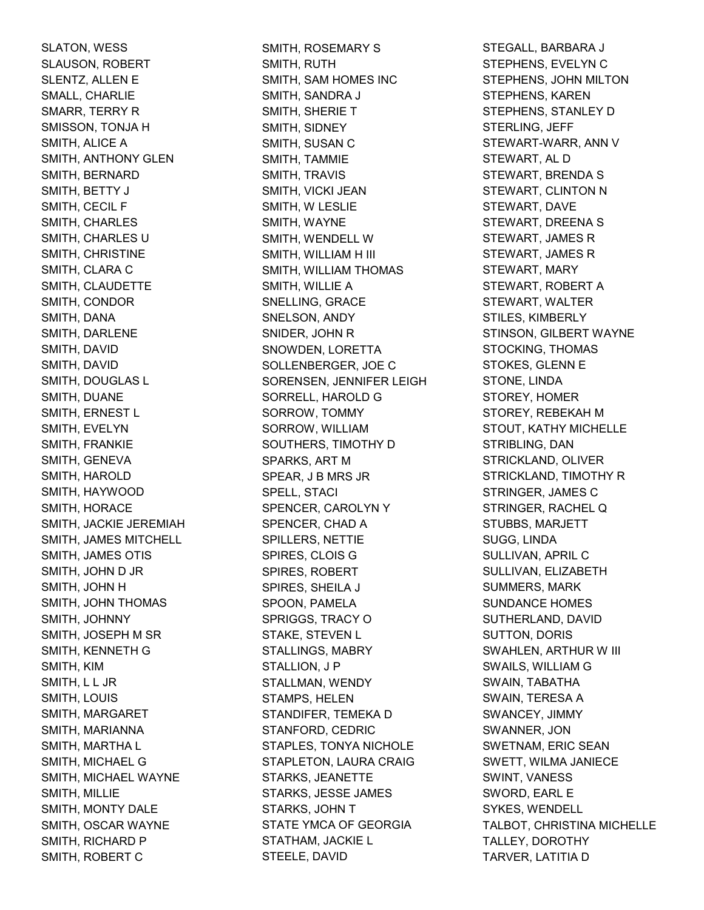SLATON, WESS SLAUSON, ROBERT SLENTZ, ALLEN E SMALL, CHARLIE SMARR, TERRY R SMISSON, TONJA H SMITH, ALICE A SMITH, ANTHONY GLEN SMITH, BERNARD SMITH, BETTY J SMITH, CECIL F SMITH, CHARLES SMITH, CHARLES U SMITH, CHRISTINE SMITH, CLARA C SMITH, CLAUDETTE SMITH, CONDOR SMITH, DANA SMITH, DARLENE SMITH, DAVID SMITH, DAVID SMITH, DOUGLAS L SMITH, DUANE SMITH, ERNEST L SMITH, EVELYN SMITH, FRANKIE SMITH, GENEVA SMITH, HAROLD SMITH, HAYWOOD SMITH, HORACE SMITH, JACKIE JEREMIAH SMITH, JAMES MITCHELL SMITH, JAMES OTIS SMITH, JOHN D JR SMITH, JOHN H SMITH, JOHN THOMAS SMITH, JOHNNY SMITH, JOSEPH M SR SMITH, KENNETH G SMITH, KIM SMITH, L L JR SMITH, LOUIS SMITH, MARGARET SMITH, MARIANNA SMITH, MARTHA L SMITH, MICHAEL G SMITH, MICHAEL WAYNE SMITH, MILLIE SMITH, MONTY DALE SMITH, OSCAR WAYNE SMITH, RICHARD P SMITH, ROBERT C

SMITH, ROSEMARY S SMITH, RUTH SMITH, SAM HOMES INC SMITH, SANDRA J SMITH, SHERIE T SMITH, SIDNEY SMITH, SUSAN C SMITH, TAMMIE SMITH, TRAVIS SMITH, VICKI JEAN SMITH, W LESLIE SMITH, WAYNE SMITH, WENDELL W SMITH, WILLIAM H III SMITH, WILLIAM THOMAS SMITH, WILLIE A SNELLING, GRACE SNELSON, ANDY SNIDER, JOHN R SNOWDEN, LORETTA SOLLENBERGER, JOE C SORENSEN, JENNIFER LEIGH SORRELL, HAROLD G SORROW, TOMMY SORROW, WILLIAM SOUTHERS, TIMOTHY D SPARKS, ART M SPEAR, J B MRS JR SPELL, STACI SPENCER, CAROLYN Y SPENCER, CHAD A SPILLERS, NETTIE SPIRES, CLOIS G SPIRES, ROBERT SPIRES, SHEILA J SPOON, PAMELA SPRIGGS, TRACY O STAKE, STEVEN L STALLINGS, MABRY STALLION, J P STALLMAN, WENDY STAMPS, HELEN STANDIFER, TEMEKA D STANFORD, CEDRIC STAPLES, TONYA NICHOLE STAPLETON, LAURA CRAIG STARKS, JEANETTE STARKS, JESSE JAMES STARKS, JOHN T STATE YMCA OF GEORGIA STATHAM, JACKIE L STEELE, DAVID

STEGALL, BARBARA J STEPHENS, EVELYN C STEPHENS, JOHN MILTON STEPHENS, KAREN STEPHENS, STANLEY D STERLING, JEFF STEWART-WARR, ANN V STEWART, AL D STEWART, BRENDA S STEWART, CLINTON N STEWART, DAVE STEWART, DREENA S STEWART, JAMES R STEWART, JAMES R STEWART, MARY STEWART, ROBERT A STEWART, WALTER STILES, KIMBERLY STINSON, GILBERT WAYNE STOCKING, THOMAS STOKES, GLENN E STONE, LINDA STOREY, HOMER STOREY, REBEKAH M STOUT, KATHY MICHELLE STRIBLING, DAN STRICKLAND, OLIVER STRICKLAND, TIMOTHY R STRINGER, JAMES C STRINGER, RACHEL Q STUBBS, MARJETT SUGG, LINDA SULLIVAN, APRIL C SULLIVAN, ELIZABETH SUMMERS, MARK SUNDANCE HOMES SUTHERLAND, DAVID SUTTON, DORIS SWAHLEN, ARTHUR W III SWAILS, WILLIAM G SWAIN, TABATHA SWAIN, TERESA A SWANCEY, JIMMY SWANNER, JON SWETNAM, ERIC SEAN SWETT, WILMA JANIECE SWINT, VANESS SWORD, EARL E SYKES, WENDELL TALBOT, CHRISTINA MICHELLE TALLEY, DOROTHY TARVER, LATITIA D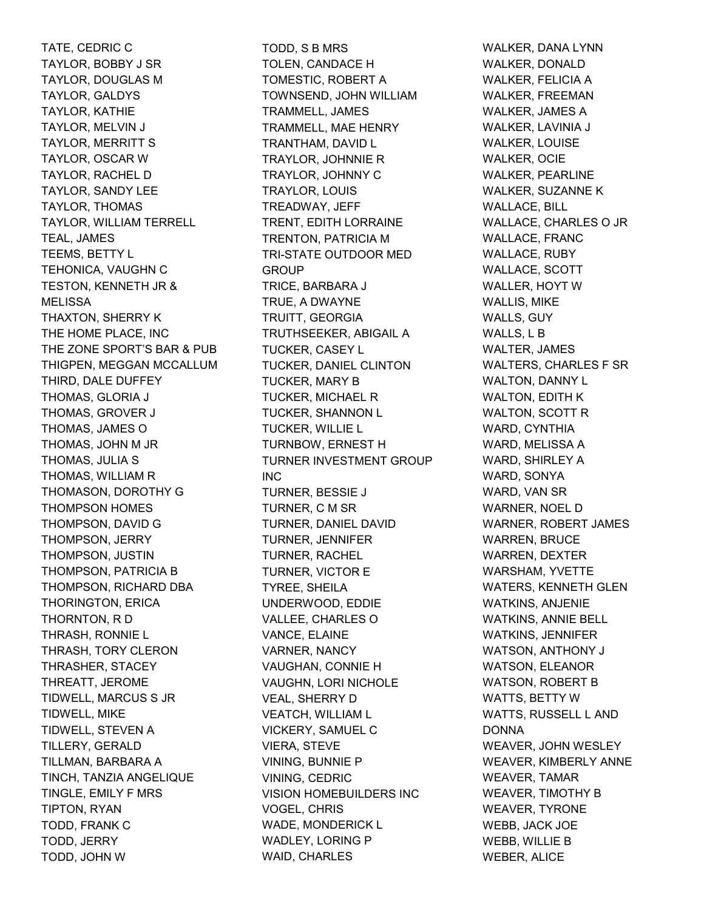TATE, CEDRIC C TAYLOR, BOBBY J SR TAYLOR, DOUGLAS M TAYLOR, GALDYS TAYLOR, KATHIE TAYLOR, MELVIN J TAYLOR, MERRITT S TAYLOR, OSCAR W TAYLOR, RACHEL D TAYLOR, SANDY LEE TAYLOR, THOMAS TAYLOR, WILLIAM TERRELL TEAL, JAMES TEEMS, BETTY L TEHONICA, VAUGHN C TESTON, KENNETH JR & **MELISSA** THAXTON, SHERRY K THE HOME PLACE, INC THE ZONE SPORT'S BAR & PUB THIGPEN, MEGGAN MCCALLUM THIRD, DALE DUFFEY THOMAS, GLORIA J THOMAS, GROVER J THOMAS, JAMES O THOMAS, JOHN M JR THOMAS, JULIA S THOMAS, WILLIAM R THOMASON, DOROTHY G THOMPSON HOMES THOMPSON, DAVID G THOMPSON, JERRY THOMPSON, JUSTIN THOMPSON, PATRICIA B THOMPSON, RICHARD DBA THORINGTON, ERICA THORNTON, R D THRASH, RONNIE L THRASH, TORY CLERON THRASHER, STACEY THREATT, JEROME TIDWELL, MARCUS S JR TIDWELL, MIKE TIDWELL, STEVEN A TILLERY, GERALD TILLMAN, BARBARA A TINCH, TANZIA ANGELIQUE TINGLE, EMILY F MRS TIPTON, RYAN TODD, FRANK C TODD, JERRY TODD, JOHN W

TODD, S B MRS TOLEN, CANDACE H TOMESTIC, ROBERT A TOWNSEND, JOHN WILLIAM TRAMMELL, JAMES TRAMMELL, MAE HENRY TRANTHAM, DAVID L TRAYLOR, JOHNNIE R TRAYLOR, JOHNNY C TRAYLOR, LOUIS TREADWAY, JEFF TRENT, EDITH LORRAINE TRENTON, PATRICIA M TRI-STATE OUTDOOR MED **GROUP** TRICE, BARBARA J TRUE, A DWAYNE TRUITT, GEORGIA TRUTHSEEKER, ABIGAIL A TUCKER, CASEY L TUCKER, DANIEL CLINTON TUCKER, MARY B TUCKER, MICHAEL R TUCKER, SHANNON L TUCKER, WILLIE L TURNBOW, ERNEST H TURNER INVESTMENT GROUP INC TURNER, BESSIE J TURNER, C M SR TURNER, DANIEL DAVID TURNER, JENNIFER TURNER, RACHEL TURNER, VICTOR E TYREE, SHEILA UNDERWOOD, EDDIE VALLEE, CHARLES O VANCE, ELAINE VARNER, NANCY VAUGHAN, CONNIE H VAUGHN, LORI NICHOLE VEAL, SHERRY D VEATCH, WILLIAM L VICKERY, SAMUEL C VIERA, STEVE VINING, BUNNIE P VINING, CEDRIC VISION HOMEBUILDERS INC VOGEL, CHRIS WADE, MONDERICK L WADLEY, LORING P WAID, CHARLES

WALKER, DANA LYNN WALKER, DONALD WALKER, FELICIA A WALKER, FREEMAN WALKER, JAMES A WALKER, LAVINIA J WALKER, LOUISE WALKER, OCIE WALKER, PEARLINE WALKER, SUZANNE K WALLACE, BILL WALLACE, CHARLES O JR WALLACE, FRANC WALLACE, RUBY WALLACE, SCOTT WALLER, HOYT W WALLIS, MIKE WALLS, GUY WALLS, L B WALTER, JAMES WALTERS, CHARLES F SR WALTON, DANNY L WALTON, EDITH K WALTON, SCOTT R WARD, CYNTHIA WARD, MELISSA A WARD, SHIRLEY A WARD, SONYA WARD, VAN SR WARNER, NOEL D WARNER, ROBERT JAMES WARREN, BRUCE WARREN, DEXTER WARSHAM, YVETTE WATERS, KENNETH GLEN WATKINS, ANJENIE WATKINS, ANNIE BELL WATKINS, JENNIFER WATSON, ANTHONY J WATSON, ELEANOR WATSON, ROBERT B WATTS, BETTY W WATTS, RUSSELL L AND DONNA WEAVER, JOHN WESLEY WEAVER, KIMBERLY ANNE WEAVER, TAMAR WEAVER, TIMOTHY B WEAVER, TYRONE WEBB, JACK JOE WEBB, WILLIE B WEBER, ALICE